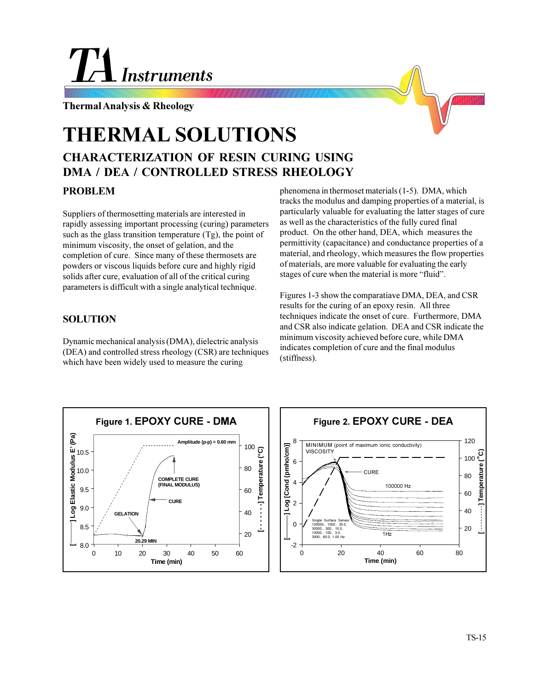# **Instruments**

**Thermal Analysis & Rheology**

# **THERMAL SOLUTIONS**

# **CHARACTERIZATION OF RESIN CURING USING DMA / DEA / CONTROLLED STRESS RHEOLOGY**

## **PROBLEM**

Suppliers of thermosetting materials are interested in rapidly assessing important processing (curing) parameters such as the glass transition temperature  $(Tg)$ , the point of minimum viscosity, the onset of gelation, and the completion of cure. Since many of these thermosets are powders or viscous liquids before cure and highly rigid solids after cure, evaluation of all of the critical curing parameters is difficult with a single analytical technique.

## **SOLUTION**

Dynamic mechanical analysis (DMA), dielectric analysis (DEA) and controlled stress rheology (CSR) are techniques which have been widely used to measure the curing

phenomena in thermoset materials (1-5). DMA, which tracks the modulus and damping properties of a material, is particularly valuable for evaluating the latter stages of cure as well as the characteristics of the fully cured final product. On the other hand, DEA, which measures the permittivity (capacitance) and conductance properties of a material, and rheology, which measures the flow properties of materials, are more valuable for evaluating the early stages of cure when the material is more "fluid".

Figures 1-3 show the comparatiave DMA, DEA, and CSR results for the curing of an epoxy resin. All three techniques indicate the onset of cure. Furthermore, DMA and CSR also indicate gelation. DEA and CSR indicate the minimum viscosity achieved before cure, while DMA indicates completion of cure and the final modulus (stiffness).